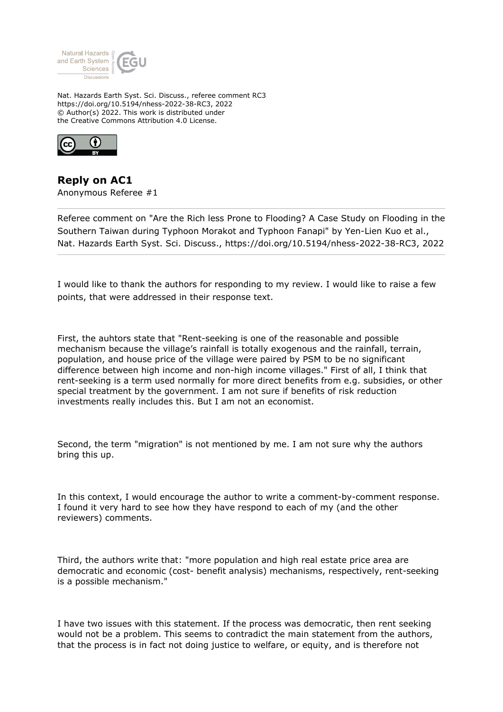

Nat. Hazards Earth Syst. Sci. Discuss., referee comment RC3 https://doi.org/10.5194/nhess-2022-38-RC3, 2022 © Author(s) 2022. This work is distributed under the Creative Commons Attribution 4.0 License.



**Reply on AC1** Anonymous Referee #1

Referee comment on "Are the Rich less Prone to Flooding? A Case Study on Flooding in the Southern Taiwan during Typhoon Morakot and Typhoon Fanapi" by Yen-Lien Kuo et al., Nat. Hazards Earth Syst. Sci. Discuss., https://doi.org/10.5194/nhess-2022-38-RC3, 2022

I would like to thank the authors for responding to my review. I would like to raise a few points, that were addressed in their response text.

First, the auhtors state that "Rent-seeking is one of the reasonable and possible mechanism because the village's rainfall is totally exogenous and the rainfall, terrain, population, and house price of the village were paired by PSM to be no significant difference between high income and non-high income villages." First of all, I think that rent-seeking is a term used normally for more direct benefits from e.g. subsidies, or other special treatment by the government. I am not sure if benefits of risk reduction investments really includes this. But I am not an economist.

Second, the term "migration" is not mentioned by me. I am not sure why the authors bring this up.

In this context, I would encourage the author to write a comment-by-comment response. I found it very hard to see how they have respond to each of my (and the other reviewers) comments.

Third, the authors write that: "more population and high real estate price area are democratic and economic (cost- benefit analysis) mechanisms, respectively, rent-seeking is a possible mechanism."

I have two issues with this statement. If the process was democratic, then rent seeking would not be a problem. This seems to contradict the main statement from the authors, that the process is in fact not doing justice to welfare, or equity, and is therefore not